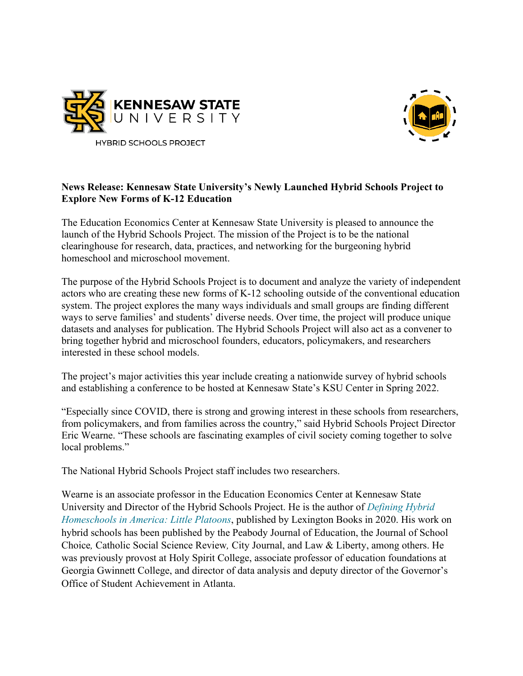



## **News Release: Kennesaw State University's Newly Launched Hybrid Schools Project to Explore New Forms of K-12 Education**

The Education Economics Center at Kennesaw State University is pleased to announce the launch of the Hybrid Schools Project. The mission of the Project is to be the national clearinghouse for research, data, practices, and networking for the burgeoning hybrid homeschool and microschool movement.

The purpose of the Hybrid Schools Project is to document and analyze the variety of independent actors who are creating these new forms of K-12 schooling outside of the conventional education system. The project explores the many ways individuals and small groups are finding different ways to serve families' and students' diverse needs. Over time, the project will produce unique datasets and analyses for publication. The Hybrid Schools Project will also act as a convener to bring together hybrid and microschool founders, educators, policymakers, and researchers interested in these school models.

The project's major activities this year include creating a nationwide survey of hybrid schools and establishing a conference to be hosted at Kennesaw State's KSU Center in Spring 2022.

"Especially since COVID, there is strong and growing interest in these schools from researchers, from policymakers, and from families across the country," said Hybrid Schools Project Director Eric Wearne. "These schools are fascinating examples of civil society coming together to solve local problems."

The National Hybrid Schools Project staff includes two researchers.

Wearne is an associate professor in the Education Economics Center at Kennesaw State University and Director of the Hybrid Schools Project. He is the author of *[Defining Hybrid](https://rowman.com/ISBN/9781793606341/Defining-Hybrid-Homeschools-in-America-Little-Platoons)  [Homeschools in America: Little Platoons](https://rowman.com/ISBN/9781793606341/Defining-Hybrid-Homeschools-in-America-Little-Platoons)*, published by Lexington Books in 2020. His work on hybrid schools has been published by the Peabody Journal of Education, the Journal of School Choice*,* Catholic Social Science Review*,* City Journal, and Law & Liberty, among others. He was previously provost at Holy Spirit College, associate professor of education foundations at Georgia Gwinnett College, and director of data analysis and deputy director of the Governor's Office of Student Achievement in Atlanta.